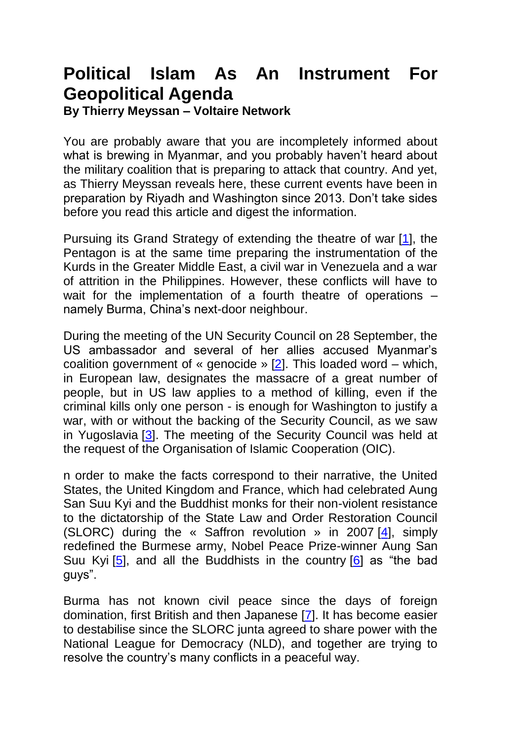## **Political Islam As An Instrument For Geopolitical Agenda**

**By Thierry Meyssan – Voltaire Network**

You are probably aware that you are incompletely informed about what is brewing in Myanmar, and you probably haven't heard about the military coalition that is preparing to attack that country. And yet, as Thierry Meyssan reveals here, these current events have been in preparation by Riyadh and Washington since 2013. Don't take sides before you read this article and digest the information.

Pursuing its Grand Strategy of extending the theatre of war [\[1\]](http://www.voltairenet.org/article198141.html#nb1), the Pentagon is at the same time preparing the instrumentation of the Kurds in the Greater Middle East, a civil war in Venezuela and a war of attrition in the Philippines. However, these conflicts will have to wait for the implementation of a fourth theatre of operations – namely Burma, China's next-door neighbour.

During the meeting of the UN Security Council on 28 September, the US ambassador and several of her allies accused Myanmar's coalition government of « genocide » [\[2\]](http://www.voltairenet.org/article198141.html#nb2). This loaded word – which, in European law, designates the massacre of a great number of people, but in US law applies to a method of killing, even if the criminal kills only one person - is enough for Washington to justify a war, with or without the backing of the Security Council, as we saw in Yugoslavia [\[3\]](http://www.voltairenet.org/article198141.html#nb3). The meeting of the Security Council was held at the request of the Organisation of Islamic Cooperation (OIC).

n order to make the facts correspond to their narrative, the United States, the United Kingdom and France, which had celebrated Aung San Suu Kyi and the Buddhist monks for their non-violent resistance to the dictatorship of the State Law and Order Restoration Council (SLORC) during the « Saffron revolution » in 2007 [\[4\]](http://www.voltairenet.org/article198141.html#nb4), simply redefined the Burmese army, Nobel Peace Prize-winner Aung San Suu Kyi [\[5\]](http://www.voltairenet.org/article198141.html#nb5), and all the Buddhists in the country [\[6\]](http://www.voltairenet.org/article198141.html#nb6) as "the bad guys".

Burma has not known civil peace since the days of foreign domination, first British and then Japanese [\[7\]](http://www.voltairenet.org/article198141.html#nb7). It has become easier to destabilise since the SLORC junta agreed to share power with the National League for Democracy (NLD), and together are trying to resolve the country's many conflicts in a peaceful way.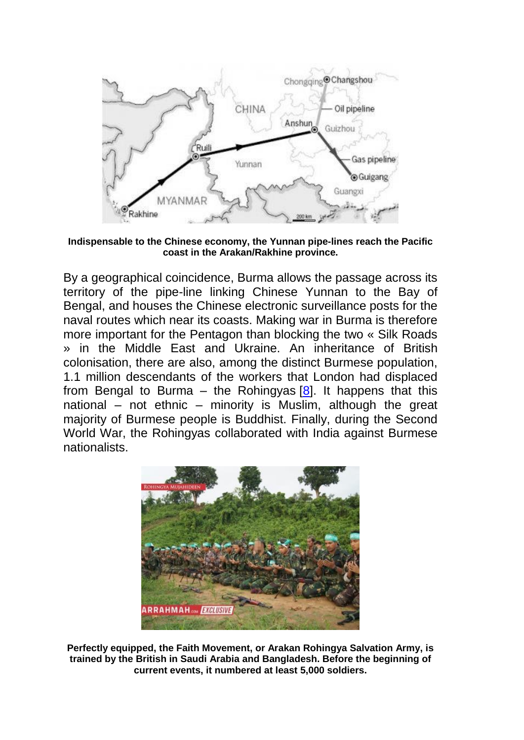

**Indispensable to the Chinese economy, the Yunnan pipe-lines reach the Pacific coast in the Arakan/Rakhine province.**

By a geographical coincidence, Burma allows the passage across its territory of the pipe-line linking Chinese Yunnan to the Bay of Bengal, and houses the Chinese electronic surveillance posts for the naval routes which near its coasts. Making war in Burma is therefore more important for the Pentagon than blocking the two « Silk Roads » in the Middle East and Ukraine. An inheritance of British colonisation, there are also, among the distinct Burmese population, 1.1 million descendants of the workers that London had displaced from Bengal to Burma – the Rohingyas  $[8]$ . It happens that this national – not ethnic – minority is Muslim, although the great majority of Burmese people is Buddhist. Finally, during the Second World War, the Rohingyas collaborated with India against Burmese nationalists.



**Perfectly equipped, the Faith Movement, or Arakan Rohingya Salvation Army, is trained by the British in Saudi Arabia and Bangladesh. Before the beginning of current events, it numbered at least 5,000 soldiers.**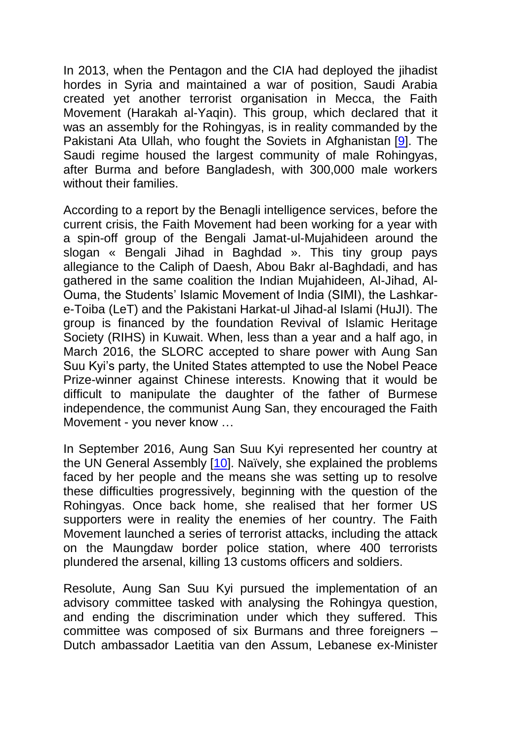In 2013, when the Pentagon and the CIA had deployed the jihadist hordes in Syria and maintained a war of position, Saudi Arabia created yet another terrorist organisation in Mecca, the Faith Movement (Harakah al-Yaqin). This group, which declared that it was an assembly for the Rohingyas, is in reality commanded by the Pakistani Ata Ullah, who fought the Soviets in Afghanistan [\[9\]](http://www.voltairenet.org/article198141.html#nb9). The Saudi regime housed the largest community of male Rohingyas, after Burma and before Bangladesh, with 300,000 male workers without their families.

According to a report by the Benagli intelligence services, before the current crisis, the Faith Movement had been working for a year with a spin-off group of the Bengali Jamat-ul-Mujahideen around the slogan « Bengali Jihad in Baghdad ». This tiny group pays allegiance to the Caliph of Daesh, Abou Bakr al-Baghdadi, and has gathered in the same coalition the Indian Mujahideen, Al-Jihad, Al-Ouma, the Students' Islamic Movement of India (SIMI), the Lashkare-Toiba (LeT) and the Pakistani Harkat-ul Jihad-al Islami (HuJI). The group is financed by the foundation Revival of Islamic Heritage Society (RIHS) in Kuwait. When, less than a year and a half ago, in March 2016, the SLORC accepted to share power with Aung San Suu Kyi's party, the United States attempted to use the Nobel Peace Prize-winner against Chinese interests. Knowing that it would be difficult to manipulate the daughter of the father of Burmese independence, the communist Aung San, they encouraged the Faith Movement - you never know …

In September 2016, Aung San Suu Kyi represented her country at the UN General Assembly [\[10\]](http://www.voltairenet.org/article198141.html#nb10). Naïvely, she explained the problems faced by her people and the means she was setting up to resolve these difficulties progressively, beginning with the question of the Rohingyas. Once back home, she realised that her former US supporters were in reality the enemies of her country. The Faith Movement launched a series of terrorist attacks, including the attack on the Maungdaw border police station, where 400 terrorists plundered the arsenal, killing 13 customs officers and soldiers.

Resolute, Aung San Suu Kyi pursued the implementation of an advisory committee tasked with analysing the Rohingya question, and ending the discrimination under which they suffered. This committee was composed of six Burmans and three foreigners – Dutch ambassador Laetitia van den Assum, Lebanese ex-Minister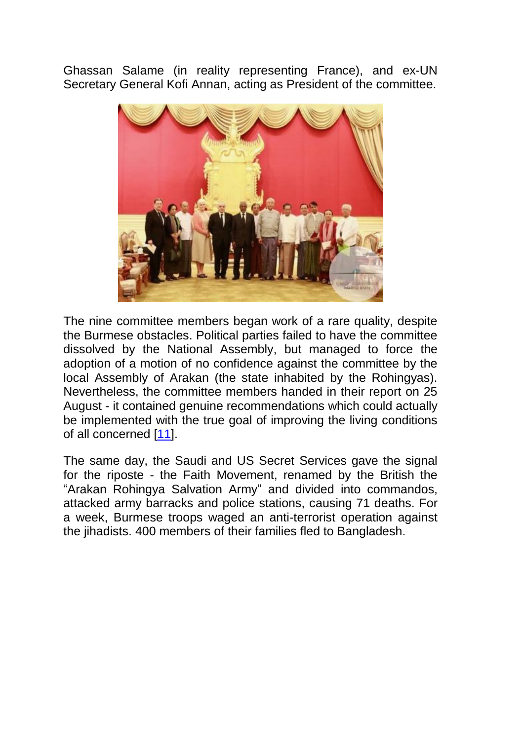Ghassan Salame (in reality representing France), and ex-UN Secretary General Kofi Annan, acting as President of the committee.



The nine committee members began work of a rare quality, despite the Burmese obstacles. Political parties failed to have the committee dissolved by the National Assembly, but managed to force the adoption of a motion of no confidence against the committee by the local Assembly of Arakan (the state inhabited by the Rohingyas). Nevertheless, the committee members handed in their report on 25 August - it contained genuine recommendations which could actually be implemented with the true goal of improving the living conditions of all concerned [\[11\]](http://www.voltairenet.org/article198141.html#nb11).

The same day, the Saudi and US Secret Services gave the signal for the riposte - the Faith Movement, renamed by the British the "Arakan Rohingya Salvation Army" and divided into commandos, attacked army barracks and police stations, causing 71 deaths. For a week, Burmese troops waged an anti-terrorist operation against the jihadists. 400 members of their families fled to Bangladesh.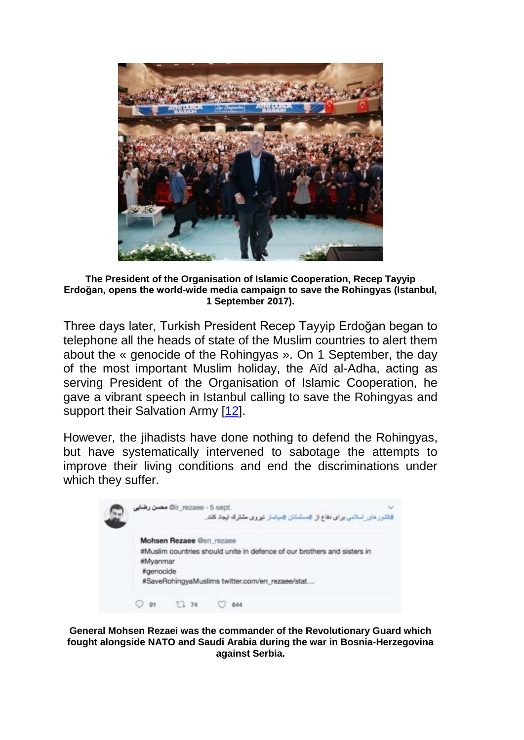

**The President of the Organisation of Islamic Cooperation, Recep Tayyip Erdoğan, opens the world-wide media campaign to save the Rohingyas (Istanbul, 1 September 2017).**

Three days later, Turkish President Recep Tayyip Erdoğan began to telephone all the heads of state of the Muslim countries to alert them about the « genocide of the Rohingyas ». On 1 September, the day of the most important Muslim holiday, the Aïd al-Adha, acting as serving President of the Organisation of Islamic Cooperation, he gave a vibrant speech in Istanbul calling to save the Rohingyas and support their Salvation Army [\[12\]](http://www.voltairenet.org/article198141.html#nb12).

However, the jihadists have done nothing to defend the Rohingyas, but have systematically intervened to sabotage the attempts to improve their living conditions and end the discriminations under which they suffer.

|  | .gir_rezaee - 5 sept مصن رضایی<br>#کشور های اسلامی برای دفاع از #سلسانان #میتمار نیروی مشترک ایجاد کنند.                                                                         |
|--|----------------------------------------------------------------------------------------------------------------------------------------------------------------------------------|
|  | Mohsen Rezaee @en rezaee<br>#Muslim countries should unite in defence of our brothers and sisters in<br>#Myanmar<br>#genocide<br>#SaveRohingyaMuslims twitter.com/en_rezaee/stat |
|  | $O$ 91 $12$ 74 $O$<br>644                                                                                                                                                        |

**General Mohsen Rezaei was the commander of the Revolutionary Guard which fought alongside NATO and Saudi Arabia during the war in Bosnia-Herzegovina against Serbia.**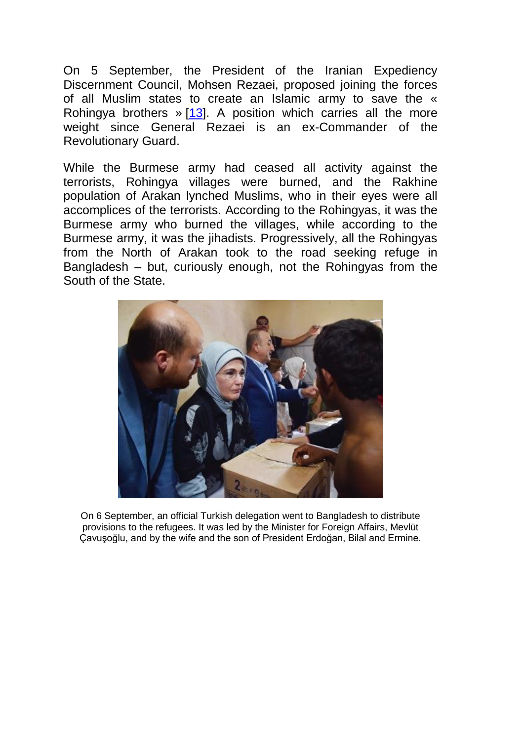On 5 September, the President of the Iranian Expediency Discernment Council, Mohsen Rezaei, proposed joining the forces of all Muslim states to create an Islamic army to save the « Rohingya brothers » [\[13\]](http://www.voltairenet.org/article198141.html#nb13). A position which carries all the more weight since General Rezaei is an ex-Commander of the Revolutionary Guard.

While the Burmese army had ceased all activity against the terrorists, Rohingya villages were burned, and the Rakhine population of Arakan lynched Muslims, who in their eyes were all accomplices of the terrorists. According to the Rohingyas, it was the Burmese army who burned the villages, while according to the Burmese army, it was the jihadists. Progressively, all the Rohingyas from the North of Arakan took to the road seeking refuge in Bangladesh – but, curiously enough, not the Rohingyas from the South of the State.



On 6 September, an official Turkish delegation went to Bangladesh to distribute provisions to the refugees. It was led by the Minister for Foreign Affairs, Mevlüt Çavuşoğlu, and by the wife and the son of President Erdoğan, Bilal and Ermine.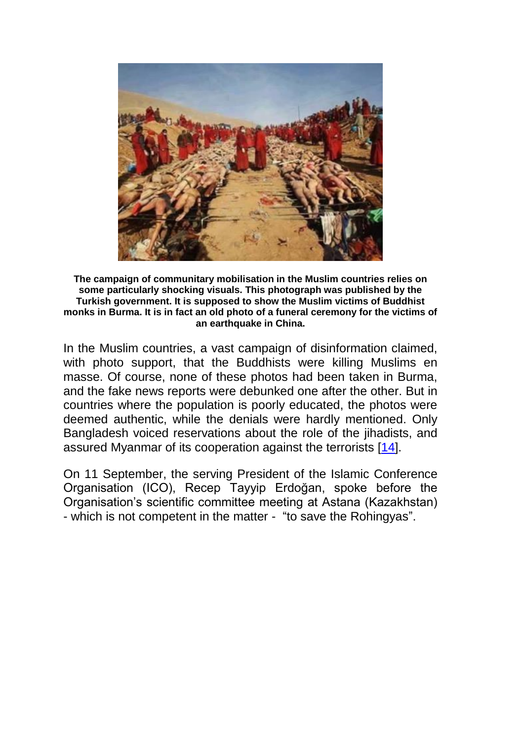

**The campaign of communitary mobilisation in the Muslim countries relies on some particularly shocking visuals. This photograph was published by the Turkish government. It is supposed to show the Muslim victims of Buddhist monks in Burma. It is in fact an old photo of a funeral ceremony for the victims of an earthquake in China.**

In the Muslim countries, a vast campaign of disinformation claimed, with photo support, that the Buddhists were killing Muslims en masse. Of course, none of these photos had been taken in Burma, and the fake news reports were debunked one after the other. But in countries where the population is poorly educated, the photos were deemed authentic, while the denials were hardly mentioned. Only Bangladesh voiced reservations about the role of the jihadists, and assured Myanmar of its cooperation against the terrorists [\[14\]](http://www.voltairenet.org/article198141.html#nb14).

On 11 September, the serving President of the Islamic Conference Organisation (ICO), Recep Tayyip Erdoğan, spoke before the Organisation's scientific committee meeting at Astana (Kazakhstan) - which is not competent in the matter - "to save the Rohingyas".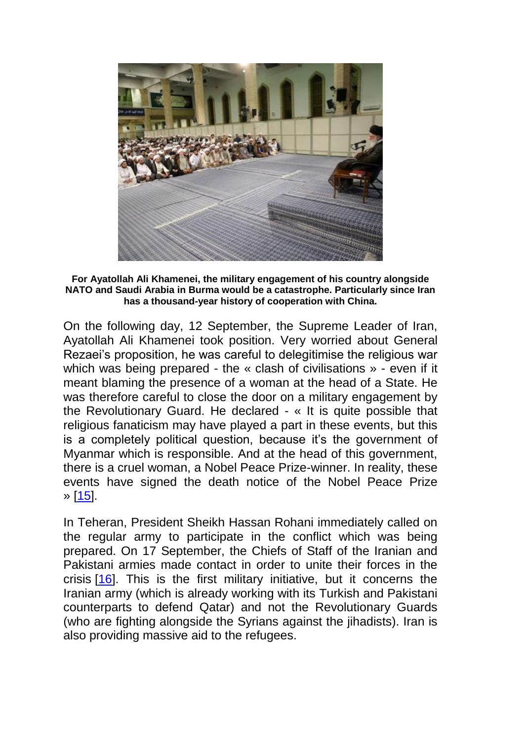

**For Ayatollah Ali Khamenei, the military engagement of his country alongside NATO and Saudi Arabia in Burma would be a catastrophe. Particularly since Iran has a thousand-year history of cooperation with China.**

On the following day, 12 September, the Supreme Leader of Iran, Ayatollah Ali Khamenei took position. Very worried about General Rezaei's proposition, he was careful to delegitimise the religious war which was being prepared - the « clash of civilisations » - even if it meant blaming the presence of a woman at the head of a State. He was therefore careful to close the door on a military engagement by the Revolutionary Guard. He declared - « It is quite possible that religious fanaticism may have played a part in these events, but this is a completely political question, because it's the government of Myanmar which is responsible. And at the head of this government, there is a cruel woman, a Nobel Peace Prize-winner. In reality, these events have signed the death notice of the Nobel Peace Prize » [\[15\]](http://www.voltairenet.org/article198141.html#nb15).

In Teheran, President Sheikh Hassan Rohani immediately called on the regular army to participate in the conflict which was being prepared. On 17 September, the Chiefs of Staff of the Iranian and Pakistani armies made contact in order to unite their forces in the crisis [\[16\]](http://www.voltairenet.org/article198141.html#nb16). This is the first military initiative, but it concerns the Iranian army (which is already working with its Turkish and Pakistani counterparts to defend Qatar) and not the Revolutionary Guards (who are fighting alongside the Syrians against the jihadists). Iran is also providing massive aid to the refugees.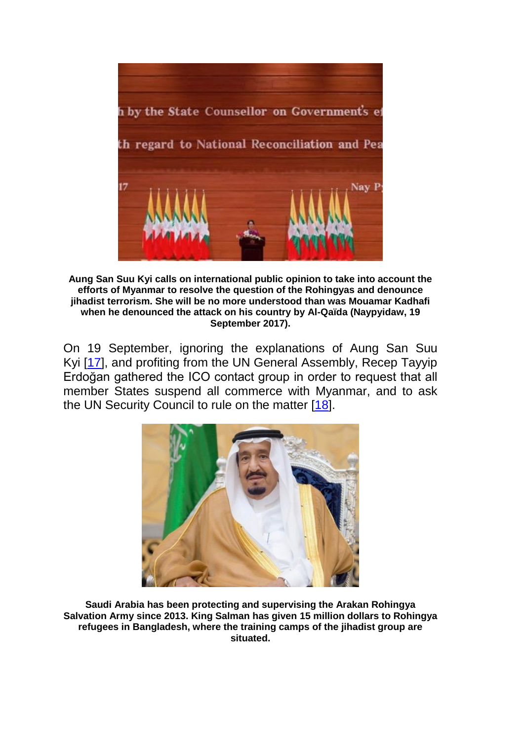

**Aung San Suu Kyi calls on international public opinion to take into account the efforts of Myanmar to resolve the question of the Rohingyas and denounce jihadist terrorism. She will be no more understood than was Mouamar Kadhafi when he denounced the attack on his country by Al-Qaïda (Naypyidaw, 19 September 2017).**

On 19 September, ignoring the explanations of Aung San Suu Kyi [\[17\]](http://www.voltairenet.org/article198141.html#nb17), and profiting from the UN General Assembly, Recep Tayyip Erdoğan gathered the ICO contact group in order to request that all member States suspend all commerce with Myanmar, and to ask the UN Security Council to rule on the matter [\[18\]](http://www.voltairenet.org/article198141.html#nb18).



**Saudi Arabia has been protecting and supervising the Arakan Rohingya Salvation Army since 2013. King Salman has given 15 million dollars to Rohingya refugees in Bangladesh, where the training camps of the jihadist group are situated.**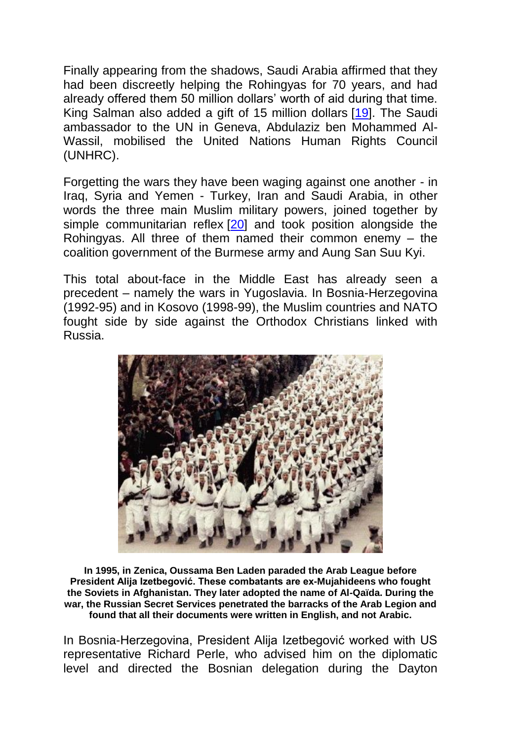Finally appearing from the shadows, Saudi Arabia affirmed that they had been discreetly helping the Rohingyas for 70 years, and had already offered them 50 million dollars' worth of aid during that time. King Salman also added a gift of 15 million dollars [\[19\]](http://www.voltairenet.org/article198141.html#nb19). The Saudi ambassador to the UN in Geneva, Abdulaziz ben Mohammed Al-Wassil, mobilised the United Nations Human Rights Council (UNHRC).

Forgetting the wars they have been waging against one another - in Iraq, Syria and Yemen - Turkey, Iran and Saudi Arabia, in other words the three main Muslim military powers, joined together by simple communitarian reflex [\[20\]](http://www.voltairenet.org/article198141.html#nb20) and took position alongside the Rohingyas. All three of them named their common enemy – the coalition government of the Burmese army and Aung San Suu Kyi.

This total about-face in the Middle East has already seen a precedent – namely the wars in Yugoslavia. In Bosnia-Herzegovina (1992-95) and in Kosovo (1998-99), the Muslim countries and NATO fought side by side against the Orthodox Christians linked with Russia.



**In 1995, in Zenica, Oussama Ben Laden paraded the Arab League before President Alija Izetbegović. These combatants are ex-Mujahideens who fought the Soviets in Afghanistan. They later adopted the name of Al-Qaïda. During the war, the Russian Secret Services penetrated the barracks of the Arab Legion and found that all their documents were written in English, and not Arabic.**

In Bosnia-Herzegovina, President Alija Izetbegović worked with US representative Richard Perle, who advised him on the diplomatic level and directed the Bosnian delegation during the Dayton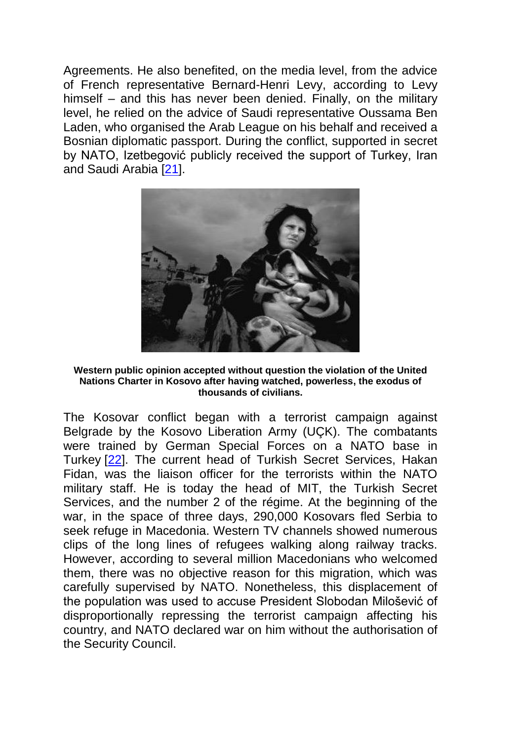Agreements. He also benefited, on the media level, from the advice of French representative Bernard-Henri Levy, according to Levy himself – and this has never been denied. Finally, on the military level, he relied on the advice of Saudi representative Oussama Ben Laden, who organised the Arab League on his behalf and received a Bosnian diplomatic passport. During the conflict, supported in secret by NATO, Izetbegović publicly received the support of Turkey, Iran and Saudi Arabia [\[21\]](http://www.voltairenet.org/article198141.html#nb21).



**Western public opinion accepted without question the violation of the United Nations Charter in Kosovo after having watched, powerless, the exodus of thousands of civilians.**

The Kosovar conflict began with a terrorist campaign against Belgrade by the Kosovo Liberation Army (UÇK). The combatants were trained by German Special Forces on a NATO base in Turkey [\[22\]](http://www.voltairenet.org/article198141.html#nb22). The current head of Turkish Secret Services, Hakan Fidan, was the liaison officer for the terrorists within the NATO military staff. He is today the head of MIT, the Turkish Secret Services, and the number 2 of the régime. At the beginning of the war, in the space of three days, 290,000 Kosovars fled Serbia to seek refuge in Macedonia. Western TV channels showed numerous clips of the long lines of refugees walking along railway tracks. However, according to several million Macedonians who welcomed them, there was no objective reason for this migration, which was carefully supervised by NATO. Nonetheless, this displacement of the population was used to accuse President Slobodan Milošević of disproportionally repressing the terrorist campaign affecting his country, and NATO declared war on him without the authorisation of the Security Council.